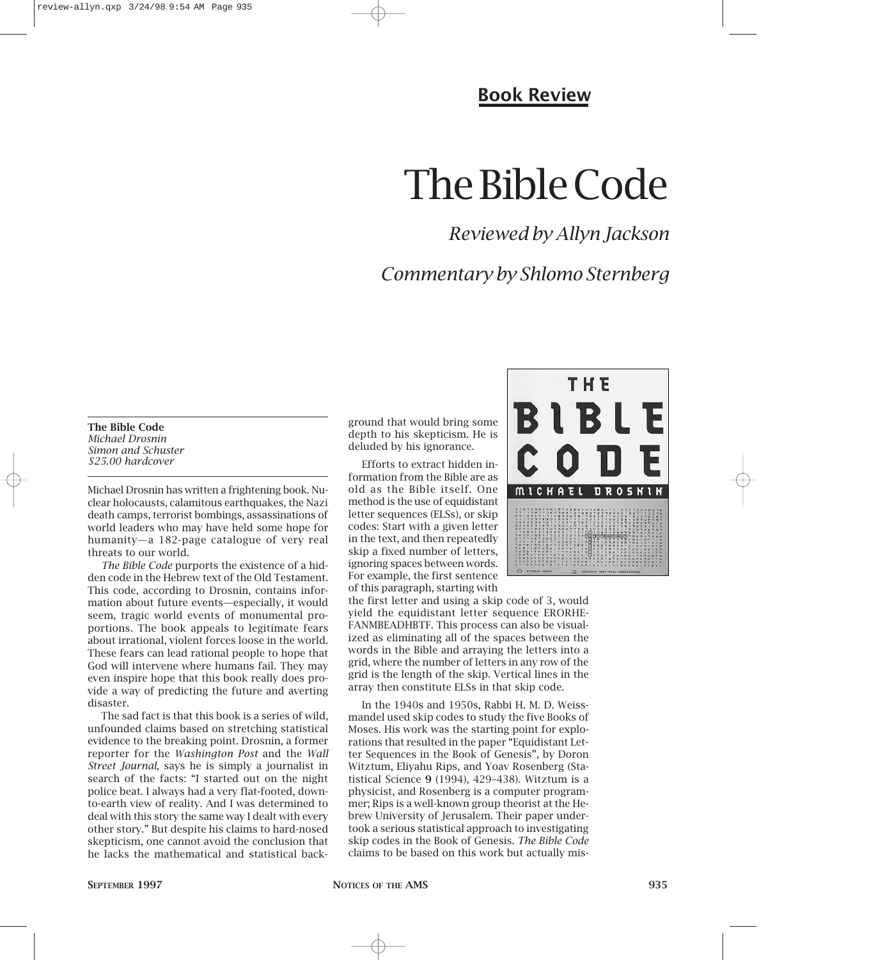#### **Book Review**

# The Bible Code

### *Reviewed by Allyn Jackson*

### *Commentary by Shlomo Sternberg*

**The Bible Code** *Michael Drosnin Simon and Schuster \$25.00 hardcover*

Michael Drosnin has written a frightening book. Nuclear holocausts, calamitous earthquakes, the Nazi death camps, terrorist bombings, assassinations of world leaders who may have held some hope for humanity—a 182-page catalogue of very real threats to our world.

*The Bible Code* purports the existence of a hidden code in the Hebrew text of the Old Testament. This code, according to Drosnin, contains information about future events—especially, it would seem, tragic world events of monumental proportions. The book appeals to legitimate fears about irrational, violent forces loose in the world. These fears can lead rational people to hope that God will intervene where humans fail. They may even inspire hope that this book really does provide a way of predicting the future and averting disaster.

The sad fact is that this book is a series of wild, unfounded claims based on stretching statistical evidence to the breaking point. Drosnin, a former reporter for the *Washington Post* and the *Wall Street Journal*, says he is simply a journalist in search of the facts: "I started out on the night police beat. I always had a very flat-footed, downto-earth view of reality. And I was determined to deal with this story the same way I dealt with every other story." But despite his claims to hard-nosed skepticism, one cannot avoid the conclusion that he lacks the mathematical and statistical background that would bring some depth to his skepticism. He is deluded by his ignorance.

Efforts to extract hidden information from the Bible are as old as the Bible itself. One method is the use of equidistant letter sequences (ELSs), or skip codes: Start with a given letter in the text, and then repeatedly skip a fixed number of letters, ignoring spaces between words. For example, the first sentence of this paragraph, starting with



the first letter and using a skip code of 3, would yield the equidistant letter sequence ERORHE-FANMBEADHBTF. This process can also be visualized as eliminating all of the spaces between the words in the Bible and arraying the letters into a grid, where the number of letters in any row of the grid is the length of the skip. Vertical lines in the array then constitute ELSs in that skip code.

In the 1940s and 1950s, Rabbi H. M. D. Weissmandel used skip codes to study the five Books of Moses. His work was the starting point for explorations that resulted in the paper "Equidistant Letter Sequences in the Book of Genesis", by Doron Witztum, Eliyahu Rips, and Yoav Rosenberg (Statistical Science **9** (1994), 429–438). Witztum is a physicist, and Rosenberg is a computer programmer; Rips is a well-known group theorist at the Hebrew University of Jerusalem. Their paper undertook a serious statistical approach to investigating skip codes in the Book of Genesis. *The Bible Code* claims to be based on this work but actually mis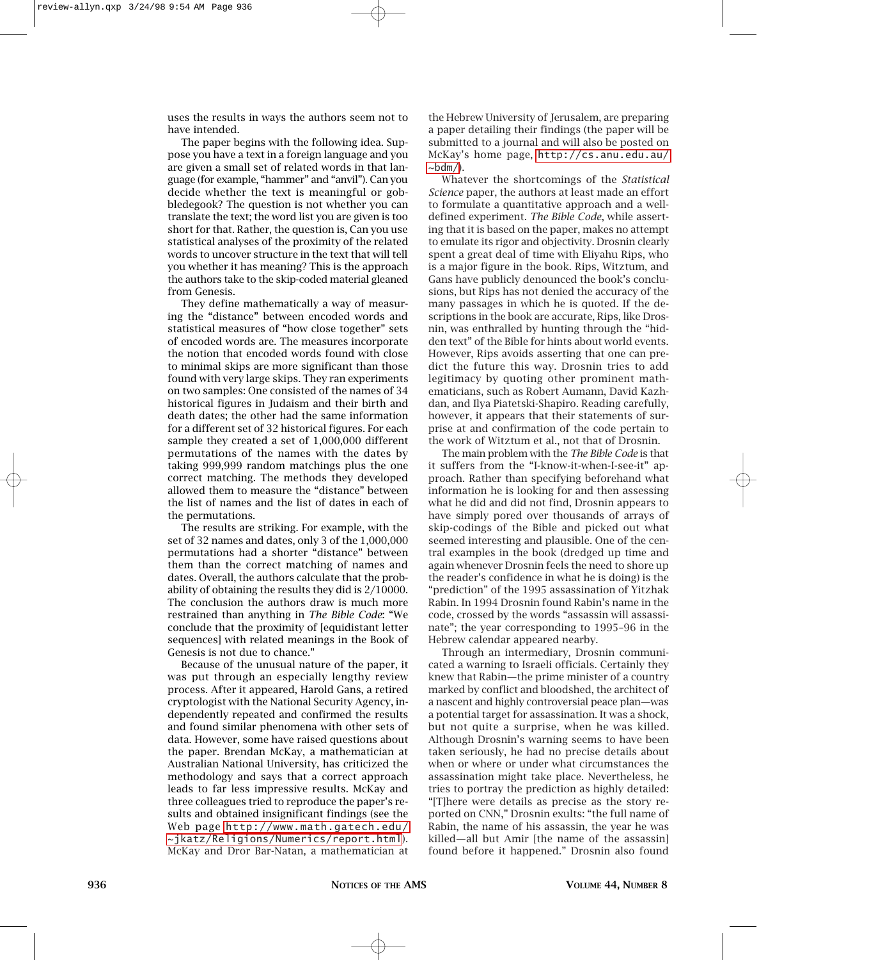uses the results in ways the authors seem not to have intended.

The paper begins with the following idea. Suppose you have a text in a foreign language and you are given a small set of related words in that language (for example, "hammer" and "anvil"). Can you decide whether the text is meaningful or gobbledegook? The question is not whether you can translate the text; the word list you are given is too short for that. Rather, the question is, Can you use statistical analyses of the proximity of the related words to uncover structure in the text that will tell you whether it has meaning? This is the approach the authors take to the skip-coded material gleaned from Genesis.

They define mathematically a way of measuring the "distance" between encoded words and statistical measures of "how close together" sets of encoded words are. The measures incorporate the notion that encoded words found with close to minimal skips are more significant than those found with very large skips. They ran experiments on two samples: One consisted of the names of 34 historical figures in Judaism and their birth and death dates; the other had the same information for a different set of 32 historical figures. For each sample they created a set of 1,000,000 different permutations of the names with the dates by taking 999,999 random matchings plus the one correct matching. The methods they developed allowed them to measure the "distance" between the list of names and the list of dates in each of the permutations.

The results are striking. For example, with the set of 32 names and dates, only 3 of the 1,000,000 permutations had a shorter "distance" between them than the correct matching of names and dates. Overall, the authors calculate that the probability of obtaining the results they did is 2/10000. The conclusion the authors draw is much more restrained than anything in *The Bible Code*: "We conclude that the proximity of [equidistant letter sequences] with related meanings in the Book of Genesis is not due to chance."

Because of the unusual nature of the paper, it was put through an especially lengthy review process. After it appeared, Harold Gans, a retired cryptologist with the National Security Agency, independently repeated and confirmed the results and found similar phenomena with other sets of data. However, some have raised questions about the paper. Brendan McKay, a mathematician at Australian National University, has criticized the methodology and says that a correct approach leads to far less impressive results. McKay and three colleagues tried to reproduce the paper's results and obtained insignificant findings (see the Web page [http://www.math.gatech.edu/](http://www.math.gatech.edu/~jkatz/Religions/Numerics/report.html) [~jkatz/Religions/Numerics/report.html](http://www.math.gatech.edu/~jkatz/Religions/Numerics/report.html)). McKay and Dror Bar-Natan, a mathematician at

the Hebrew University of Jerusalem, are preparing a paper detailing their findings (the paper will be submitted to a journal and will also be posted on McKay's home page, [http://cs.anu.edu.au/](http://cs.anu.edu.au/~bdm/)  $\sim$ bdm $/$ ).

Whatever the shortcomings of the *Statistical Science* paper, the authors at least made an effort to formulate a quantitative approach and a welldefined experiment. *The Bible Code*, while asserting that it is based on the paper, makes no attempt to emulate its rigor and objectivity. Drosnin clearly spent a great deal of time with Eliyahu Rips, who is a major figure in the book. Rips, Witztum, and Gans have publicly denounced the book's conclusions, but Rips has not denied the accuracy of the many passages in which he is quoted. If the descriptions in the book are accurate, Rips, like Drosnin, was enthralled by hunting through the "hidden text" of the Bible for hints about world events. However, Rips avoids asserting that one can predict the future this way. Drosnin tries to add legitimacy by quoting other prominent mathematicians, such as Robert Aumann, David Kazhdan, and Ilya Piatetski-Shapiro. Reading carefully, however, it appears that their statements of surprise at and confirmation of the code pertain to the work of Witztum et al., not that of Drosnin.

The main problem with the *The Bible Code* is that it suffers from the "I-know-it-when-I-see-it" approach. Rather than specifying beforehand what information he is looking for and then assessing what he did and did not find, Drosnin appears to have simply pored over thousands of arrays of skip-codings of the Bible and picked out what seemed interesting and plausible. One of the central examples in the book (dredged up time and again whenever Drosnin feels the need to shore up the reader's confidence in what he is doing) is the "prediction" of the 1995 assassination of Yitzhak Rabin. In 1994 Drosnin found Rabin's name in the code, crossed by the words "assassin will assassinate"; the year corresponding to 1995–96 in the Hebrew calendar appeared nearby.

Through an intermediary, Drosnin communicated a warning to Israeli officials. Certainly they knew that Rabin—the prime minister of a country marked by conflict and bloodshed, the architect of a nascent and highly controversial peace plan—was a potential target for assassination. It was a shock, but not quite a surprise, when he was killed. Although Drosnin's warning seems to have been taken seriously, he had no precise details about when or where or under what circumstances the assassination might take place. Nevertheless, he tries to portray the prediction as highly detailed: "[T]here were details as precise as the story reported on CNN," Drosnin exults: "the full name of Rabin, the name of his assassin, the year he was killed—all but Amir [the name of the assassin] found before it happened." Drosnin also found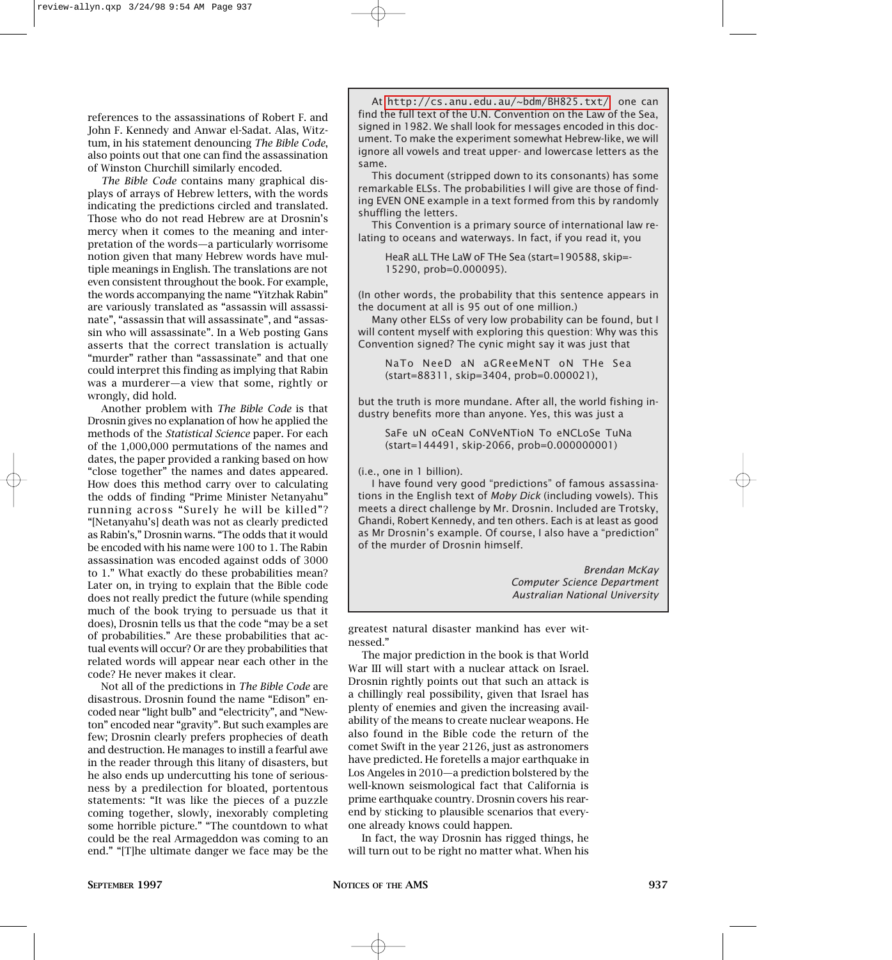references to the assassinations of Robert F. and John F. Kennedy and Anwar el-Sadat. Alas, Witztum, in his statement denouncing *The Bible Code*, also points out that one can find the assassination of Winston Churchill similarly encoded.

*The Bible Code* contains many graphical displays of arrays of Hebrew letters, with the words indicating the predictions circled and translated. Those who do not read Hebrew are at Drosnin's mercy when it comes to the meaning and interpretation of the words—a particularly worrisome notion given that many Hebrew words have multiple meanings in English. The translations are not even consistent throughout the book. For example, the words accompanying the name "Yitzhak Rabin" are variously translated as "assassin will assassinate", "assassin that will assassinate", and "assassin who will assassinate". In a Web posting Gans asserts that the correct translation is actually "murder" rather than "assassinate" and that one could interpret this finding as implying that Rabin was a murderer—a view that some, rightly or wrongly, did hold.

Another problem with *The Bible Code* is that Drosnin gives no explanation of how he applied the methods of the *Statistical Science* paper. For each of the 1,000,000 permutations of the names and dates, the paper provided a ranking based on how "close together" the names and dates appeared. How does this method carry over to calculating the odds of finding "Prime Minister Netanyahu" running across "Surely he will be killed"? "[Netanyahu's] death was not as clearly predicted as Rabin's," Drosnin warns. "The odds that it would be encoded with his name were 100 to 1. The Rabin assassination was encoded against odds of 3000 to 1." What exactly do these probabilities mean? Later on, in trying to explain that the Bible code does not really predict the future (while spending much of the book trying to persuade us that it does), Drosnin tells us that the code "may be a set of probabilities." Are these probabilities that actual events will occur? Or are they probabilities that related words will appear near each other in the code? He never makes it clear.

Not all of the predictions in *The Bible Code* are disastrous. Drosnin found the name "Edison" encoded near "light bulb" and "electricity", and "Newton" encoded near "gravity". But such examples are few; Drosnin clearly prefers prophecies of death and destruction. He manages to instill a fearful awe in the reader through this litany of disasters, but he also ends up undercutting his tone of seriousness by a predilection for bloated, portentous statements: "It was like the pieces of a puzzle coming together, slowly, inexorably completing some horrible picture." "The countdown to what could be the real Armageddon was coming to an end." "[T]he ultimate danger we face may be the

At <http://cs.anu.edu.au/~bdm/BH825.txt/>one can find the full text of the U.N. Convention on the Law of the Sea, signed in 1982. We shall look for messages encoded in this document. To make the experiment somewhat Hebrew-like, we will ignore all vowels and treat upper- and lowercase letters as the same.

This document (stripped down to its consonants) has some remarkable ELSs. The probabilities I will give are those of finding EVEN ONE example in a text formed from this by randomly shuffling the letters.

This Convention is a primary source of international law relating to oceans and waterways. In fact, if you read it, you

HeaR aLL THe LaW oF THe Sea (start=190588, skip=- 15290, prob=0.000095).

(In other words, the probability that this sentence appears in the document at all is 95 out of one million.)

Many other ELSs of very low probability can be found, but I will content myself with exploring this question: Why was this Convention signed? The cynic might say it was just that

NaTo NeeD aN aGReeMeNT oN THe Sea (start=88311, skip=3404, prob=0.000021),

but the truth is more mundane. After all, the world fishing industry benefits more than anyone. Yes, this was just a

SaFe uN oCeaN CoNVeNTioN To eNCLoSe TuNa (start=144491, skip-2066, prob=0.000000001)

(i.e., one in 1 billion).

I have found very good "predictions" of famous assassinations in the English text of *Moby Dick* (including vowels). This meets a direct challenge by Mr. Drosnin. Included are Trotsky, Ghandi, Robert Kennedy, and ten others. Each is at least as good as Mr Drosnin's example. Of course, I also have a "prediction" of the murder of Drosnin himself.

> *Brendan McKay Computer Science Department Australian National University*

greatest natural disaster mankind has ever witnessed."

The major prediction in the book is that World War III will start with a nuclear attack on Israel. Drosnin rightly points out that such an attack is a chillingly real possibility, given that Israel has plenty of enemies and given the increasing availability of the means to create nuclear weapons. He also found in the Bible code the return of the comet Swift in the year 2126, just as astronomers have predicted. He foretells a major earthquake in Los Angeles in 2010—a prediction bolstered by the well-known seismological fact that California is prime earthquake country. Drosnin covers his rearend by sticking to plausible scenarios that everyone already knows could happen.

In fact, the way Drosnin has rigged things, he will turn out to be right no matter what. When his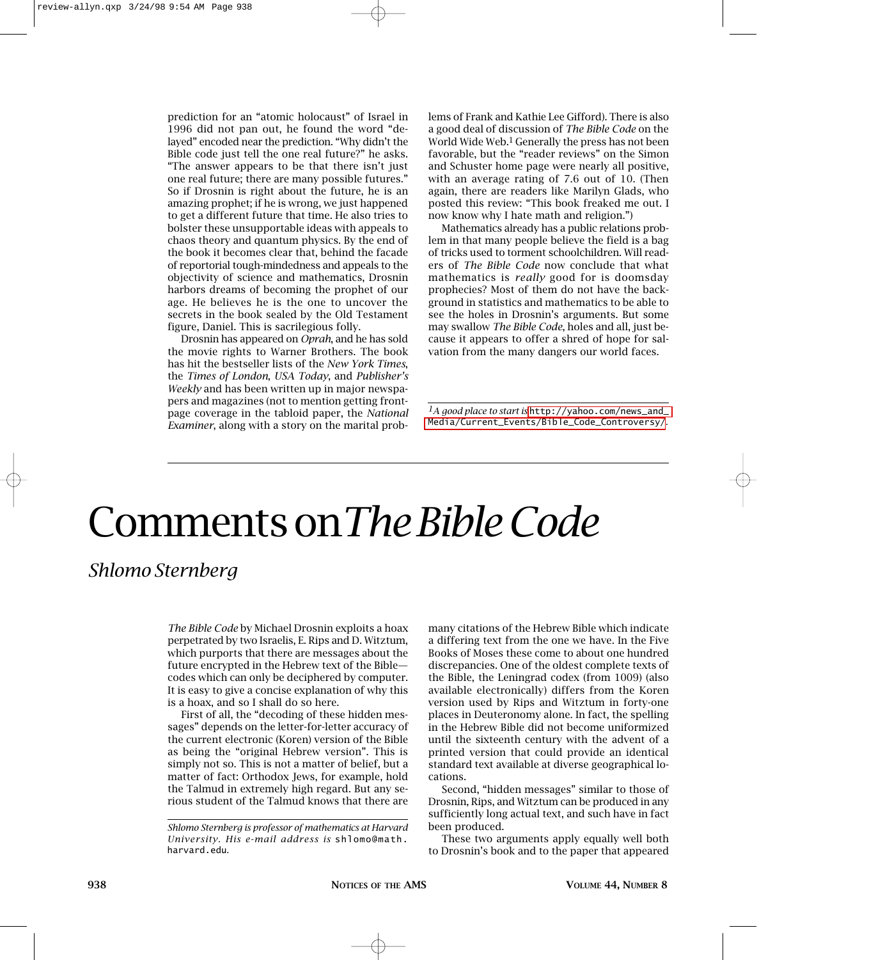prediction for an "atomic holocaust" of Israel in 1996 did not pan out, he found the word "delayed" encoded near the prediction. "Why didn't the Bible code just tell the one real future?" he asks. "The answer appears to be that there isn't just one real future; there are many possible futures." So if Drosnin is right about the future, he is an amazing prophet; if he is wrong, we just happened to get a different future that time. He also tries to bolster these unsupportable ideas with appeals to chaos theory and quantum physics. By the end of the book it becomes clear that, behind the facade of reportorial tough-mindedness and appeals to the objectivity of science and mathematics, Drosnin harbors dreams of becoming the prophet of our age. He believes he is the one to uncover the secrets in the book sealed by the Old Testament figure, Daniel. This is sacrilegious folly.

Drosnin has appeared on *Oprah*, and he has sold the movie rights to Warner Brothers. The book has hit the bestseller lists of the *New York Times*, the *Times of London*, *USA Today*, and *Publisher's Weekly* and has been written up in major newspapers and magazines (not to mention getting frontpage coverage in the tabloid paper, the *National Examiner*, along with a story on the marital prob-

lems of Frank and Kathie Lee Gifford). There is also a good deal of discussion of *The Bible Code* on the World Wide Web.<sup>1</sup> Generally the press has not been favorable, but the "reader reviews" on the Simon and Schuster home page were nearly all positive, with an average rating of 7.6 out of 10. (Then again, there are readers like Marilyn Glads, who posted this review: "This book freaked me out. I now know why I hate math and religion.")

Mathematics already has a public relations problem in that many people believe the field is a bag of tricks used to torment schoolchildren. Will readers of *The Bible Code* now conclude that what mathematics is *really* good for is doomsday prophecies? Most of them do not have the background in statistics and mathematics to be able to see the holes in Drosnin's arguments. But some may swallow *The Bible Code*, holes and all, just because it appears to offer a shred of hope for salvation from the many dangers our world faces.

*1A good place to start is* [http://yahoo.com/news\\_and\\_](http://yahoo.com/news_and_Media/Current_Events/Bible_Code_Controversy/) [Media/Current\\_Events/Bible\\_Code\\_Controversy/](http://yahoo.com/news_and_Media/Current_Events/Bible_Code_Controversy/).

## Comments on*The Bible Code*

#### *Shlomo Sternberg*

*The Bible Code* by Michael Drosnin exploits a hoax perpetrated by two Israelis, E. Rips and D. Witztum, which purports that there are messages about the future encrypted in the Hebrew text of the Bible codes which can only be deciphered by computer. It is easy to give a concise explanation of why this is a hoax, and so I shall do so here.

First of all, the "decoding of these hidden messages" depends on the letter-for-letter accuracy of the current electronic (Koren) version of the Bible as being the "original Hebrew version". This is simply not so. This is not a matter of belief, but a matter of fact: Orthodox Jews, for example, hold the Talmud in extremely high regard. But any serious student of the Talmud knows that there are

many citations of the Hebrew Bible which indicate a differing text from the one we have. In the Five Books of Moses these come to about one hundred discrepancies. One of the oldest complete texts of the Bible, the Leningrad codex (from 1009) (also available electronically) differs from the Koren version used by Rips and Witztum in forty-one places in Deuteronomy alone. In fact, the spelling in the Hebrew Bible did not become uniformized until the sixteenth century with the advent of a printed version that could provide an identical standard text available at diverse geographical locations.

Second, "hidden messages" similar to those of Drosnin, Rips, and Witztum can be produced in any sufficiently long actual text, and such have in fact been produced.

These two arguments apply equally well both to Drosnin's book and to the paper that appeared

*Shlomo Sternberg is professor of mathematics at Harvard University. His e-mail address is* shlomo@math. harvard.edu*.*